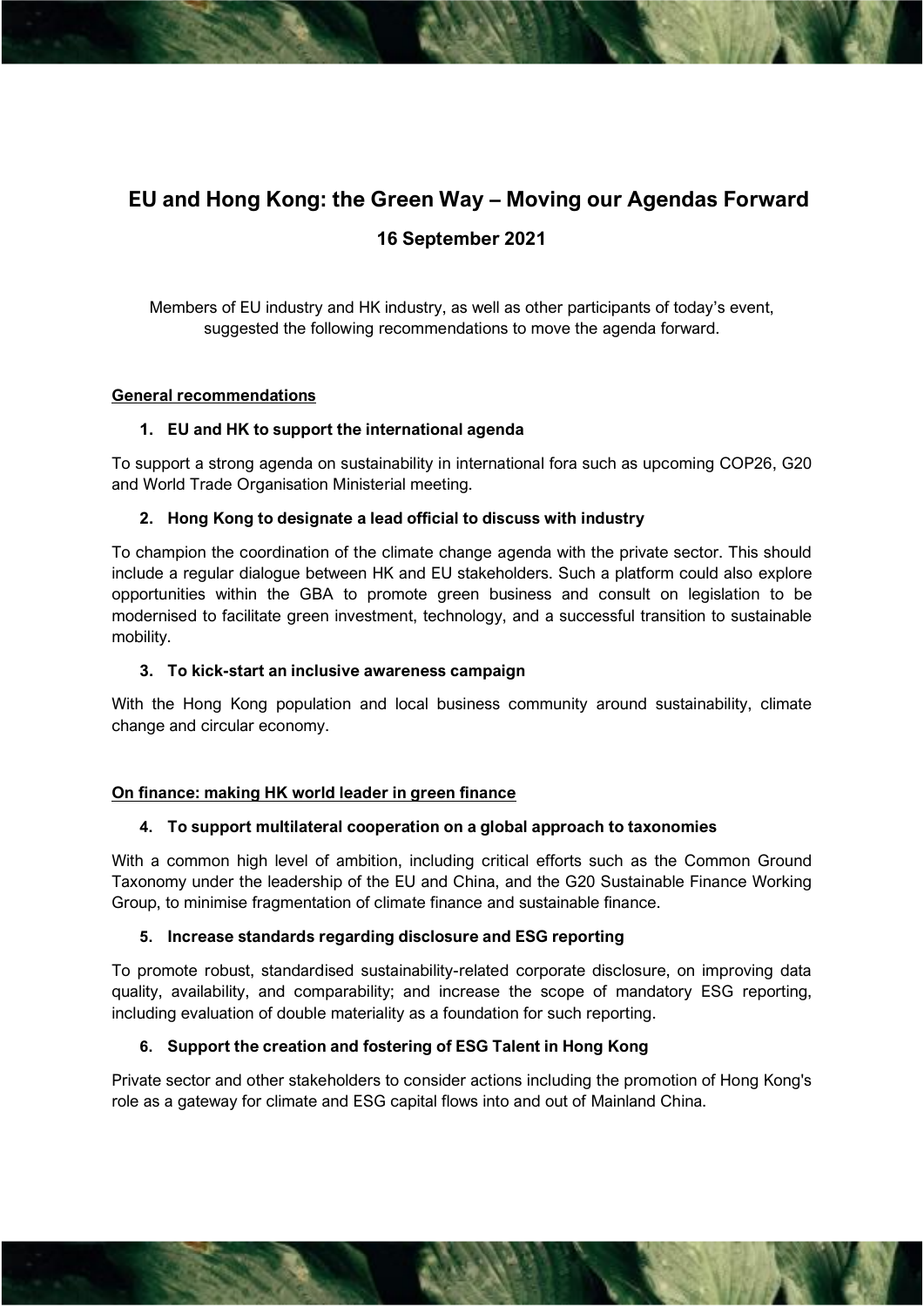# **EU and Hong Kong: the Green Way – Moving our Agendas Forward 16 September 2021**

Members of EU industry and HK industry, as well as other participants of today's event, suggested the following recommendations to move the agenda forward.

#### **General recommendations**

#### **1. EU and HK to support the international agenda**

To support a strong agenda on sustainability in international fora such as upcoming COP26, G20 and World Trade Organisation Ministerial meeting.

#### **2. Hong Kong to designate a lead official to discuss with industry**

To champion the coordination of the climate change agenda with the private sector. This should include a regular dialogue between HK and EU stakeholders. Such a platform could also explore opportunities within the GBA to promote green business and consult on legislation to be modernised to facilitate green investment, technology, and a successful transition to sustainable mobility.

#### **3. To kick-start an inclusive awareness campaign**

With the Hong Kong population and local business community around sustainability, climate change and circular economy.

#### **On finance: making HK world leader in green finance**

#### **4. To support multilateral cooperation on a global approach to taxonomies**

With a common high level of ambition, including critical efforts such as the Common Ground Taxonomy under the leadership of the EU and China, and the G20 Sustainable Finance Working Group, to minimise fragmentation of climate finance and sustainable finance.

#### **5. Increase standards regarding disclosure and ESG reporting**

To promote robust, standardised sustainability-related corporate disclosure, on improving data quality, availability, and comparability; and increase the scope of mandatory ESG reporting, including evaluation of double materiality as a foundation for such reporting.

#### **6. Support the creation and fostering of ESG Talent in Hong Kong**

Private sector and other stakeholders to consider actions including the promotion of Hong Kong's role as a gateway for climate and ESG capital flows into and out of Mainland China.